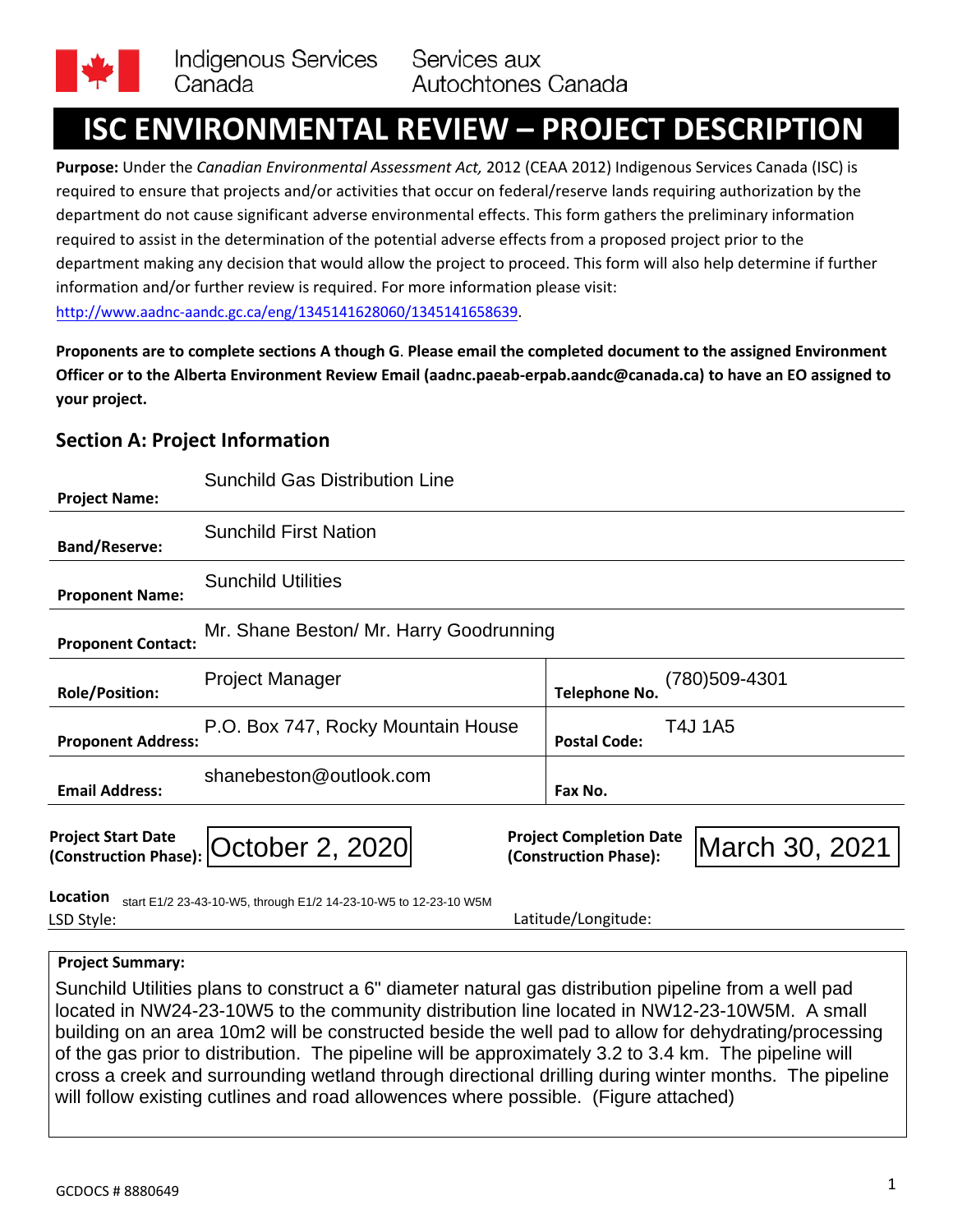

# **ISC ENVIRONMENTAL REVIEW – PROJECT DESCRIPTION**

**Purpose:** Under the *Canadian Environmental Assessment Act,* 2012 (CEAA 2012) Indigenous Services Canada (ISC) is required to ensure that projects and/or activities that occur on federal/reserve lands requiring authorization by the department do not cause significant adverse environmental effects. This form gathers the preliminary information required to assist in the determination of the potential adverse effects from a proposed project prior to the department making any decision that would allow the project to proceed. This form will also help determine if further information and/or further review is required. For more information please visit: <http://www.aadnc-aandc.gc.ca/eng/1345141628060/1345141658639>.

**Proponents are to complete sections A though G**. **Please email the completed document to the assigned Environment Officer or to the Alberta Environment Review Email ([aadnc.paeab-erpab.aandc@canada.ca\)](mailto:aadnc.paeab-erpab.aandc@canada.ca) to have an EO assigned to [your project](mailto:aadnc.paeab-erpab.aadnc@canada.ca).**

## **Section A: Project Information**

|                                                    | <b>Sunchild Gas Distribution Line</b>                            |                                                                           |
|----------------------------------------------------|------------------------------------------------------------------|---------------------------------------------------------------------------|
| <b>Project Name:</b>                               |                                                                  |                                                                           |
| <b>Band/Reserve:</b>                               | <b>Sunchild First Nation</b>                                     |                                                                           |
| <b>Proponent Name:</b>                             | <b>Sunchild Utilities</b>                                        |                                                                           |
| <b>Proponent Contact:</b>                          | Mr. Shane Beston/ Mr. Harry Goodrunning                          |                                                                           |
| <b>Role/Position:</b>                              | <b>Project Manager</b>                                           | (780)509-4301<br><b>Telephone No.</b>                                     |
| <b>Proponent Address:</b>                          | P.O. Box 747, Rocky Mountain House                               | T4J 1A5<br><b>Postal Code:</b>                                            |
| <b>Email Address:</b>                              | shanebeston@outlook.com                                          | Fax No.                                                                   |
| <b>Project Start Date</b><br>(Construction Phase): | October 2, 2020                                                  | <b>Project Completion Date</b><br>March 30, 2021<br>(Construction Phase): |
| Location<br>LSD Style:                             | start E1/2 23-43-10-W5, through E1/2 14-23-10-W5 to 12-23-10 W5M | Latitude/Longitude:                                                       |

## **Project Summary:**

Sunchild Utilities plans to construct a 6" diameter natural gas distribution pipeline from a well pad located in NW24-23-10W5 to the community distribution line located in NW12-23-10W5M. A small building on an area 10m2 will be constructed beside the well pad to allow for dehydrating/processing of the gas prior to distribution. The pipeline will be approximately 3.2 to 3.4 km. The pipeline will cross a creek and surrounding wetland through directional drilling during winter months. The pipeline will follow existing cutlines and road allowences where possible. (Figure attached)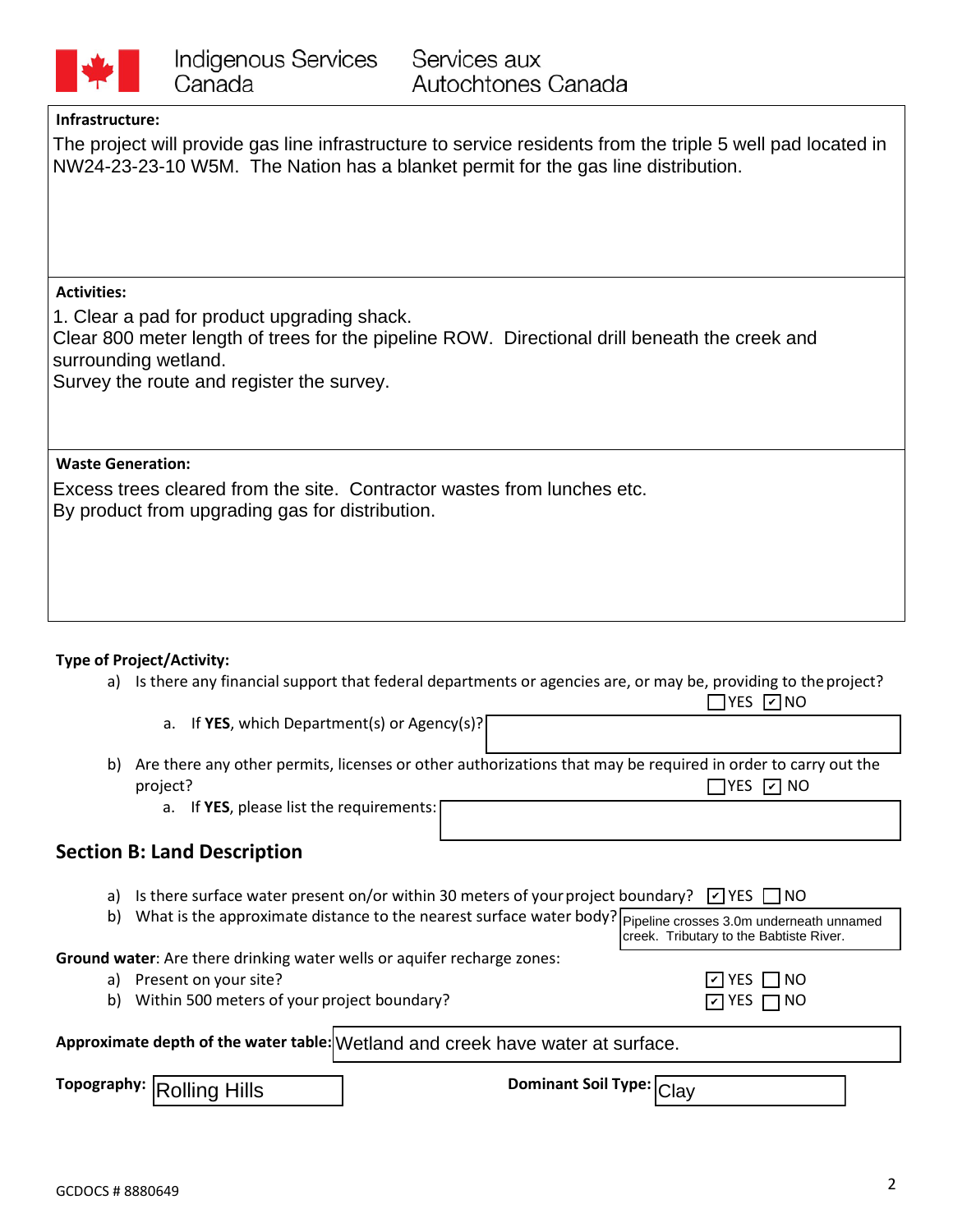

#### **Infrastructure:**

The project will provide gas line infrastructure to service residents from the triple 5 well pad located in NW24-23-23-10 W5M. The Nation has a blanket permit for the gas line distribution.

#### **Activities:**

1. Clear a pad for product upgrading shack.

Clear 800 meter length of trees for the pipeline ROW. Directional drill beneath the creek and surrounding wetland.

Survey the route and register the survey.

#### **Waste Generation:**

Excess trees cleared from the site. Contractor wastes from lunches etc. By product from upgrading gas for distribution.

## **Type of Project/Activity:**

a) Is there any financial support that federal departments or agencies are, or may be, providing to the project?

a. If **YES**, which Department(s) or Agency(s)?

b) Are there any other permits, licenses or other authorizations that may be required in order to carry out the project?  $\Box$  YES  $\Box$  NO

a. If **YES**, please list the requirements:

## **Section B: Land Description**

- a) Is there surface water present on/or within 30 meters of your project boundary?  $\boxed{\phantom{a}}$  YES  $\boxed{\phantom{a}}$  NO
- b) What is the approximate distance to the nearest surface water body? Pipeline crosses 3.0m underneath unnamed creek. Tributary to the Babtiste River.

**Ground water**: Are there drinking water wells or aquifer recharge zones:

- a) Present on your site?
- b) Within 500 meters of your project boundary?

| ПYES ∩NO             |  |
|----------------------|--|
| $\Box$ YES $\Box$ NO |  |

YES ØNO

|  | Approximate depth of the water table: Wetland and creek have water at surface. |
|--|--------------------------------------------------------------------------------|
|--|--------------------------------------------------------------------------------|

**Topography:** Rolling Hills **Clay**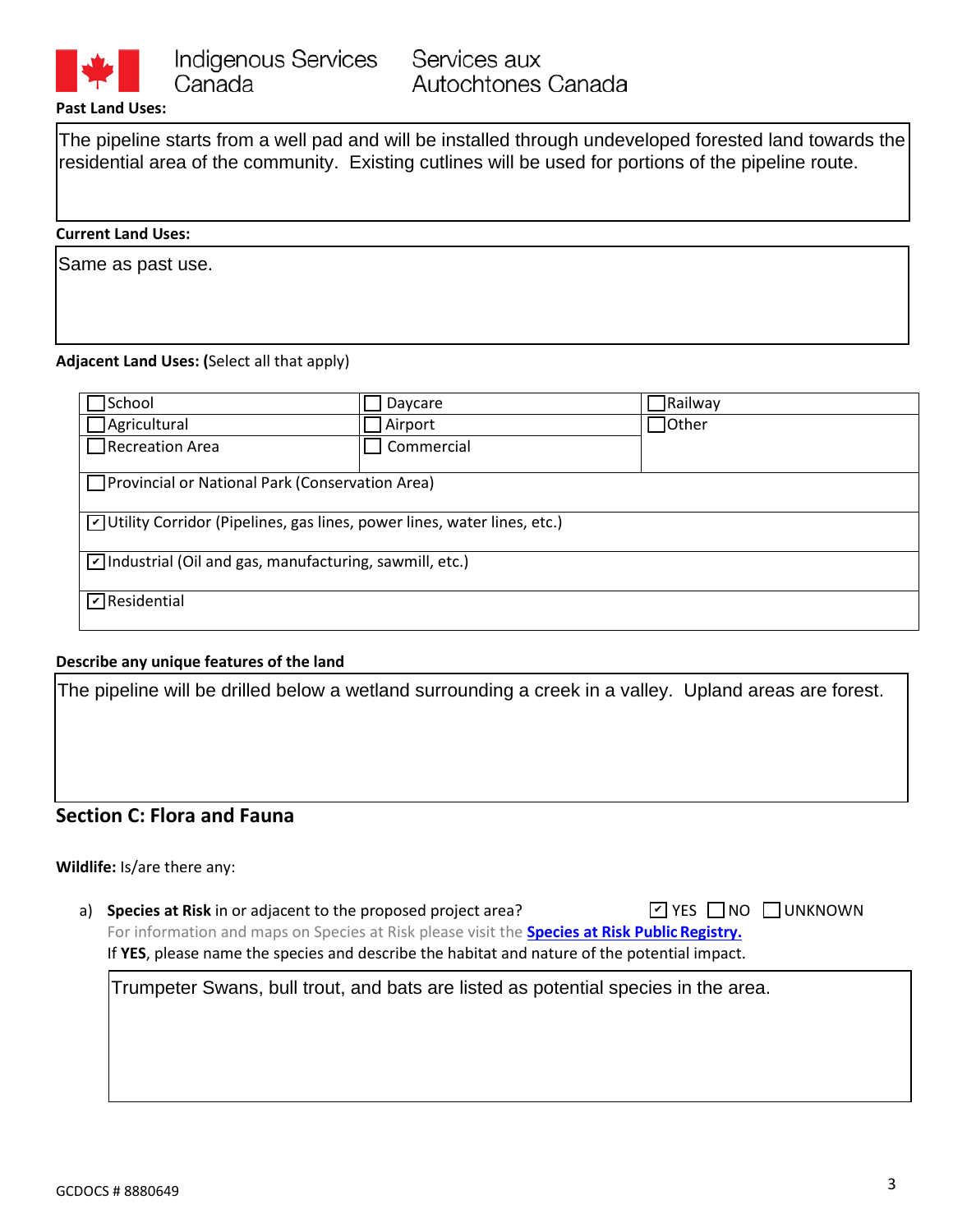

#### **Past Land Uses:**

The pipeline starts from a well pad and will be installed through undeveloped forested land towards the residential area of the community. Existing cutlines will be used for portions of the pipeline route.

#### **Current Land Uses:**

Same as past use.

#### **Adjacent Land Uses: (**Select all that apply)

| School                                                                                  | Daycare    | <b>Railway</b>  |  |  |  |
|-----------------------------------------------------------------------------------------|------------|-----------------|--|--|--|
| $\Box$ Agricultural                                                                     | Airport    | $\exists$ Other |  |  |  |
| $\Box$ Recreation Area                                                                  | Commercial |                 |  |  |  |
| Provincial or National Park (Conservation Area)                                         |            |                 |  |  |  |
| $\triangledown$ Utility Corridor (Pipelines, gas lines, power lines, water lines, etc.) |            |                 |  |  |  |
| $\triangledown$ Industrial (Oil and gas, manufacturing, sawmill, etc.)                  |            |                 |  |  |  |
| $\nabla$ Residential                                                                    |            |                 |  |  |  |

#### **Describe any unique features of the land**

The pipeline will be drilled below a wetland surrounding a creek in a valley. Upland areas are forest.

## **Section C: Flora and Fauna**

#### **Wildlife:** Is/are there any:

a) **Species at Risk** in or adjacent to the proposed project area? For information and maps on Species at Risk please visit the **[Species at Risk Public](http://www.sararegistry.gc.ca/default.asp?lang=En&n=24F7211B-1) Registry.** If **YES**, please name the species and describe the habitat and nature of the potential impact. ☑ YES NO NUNKNOWN

Trumpeter Swans, bull trout, and bats are listed as potential species in the area.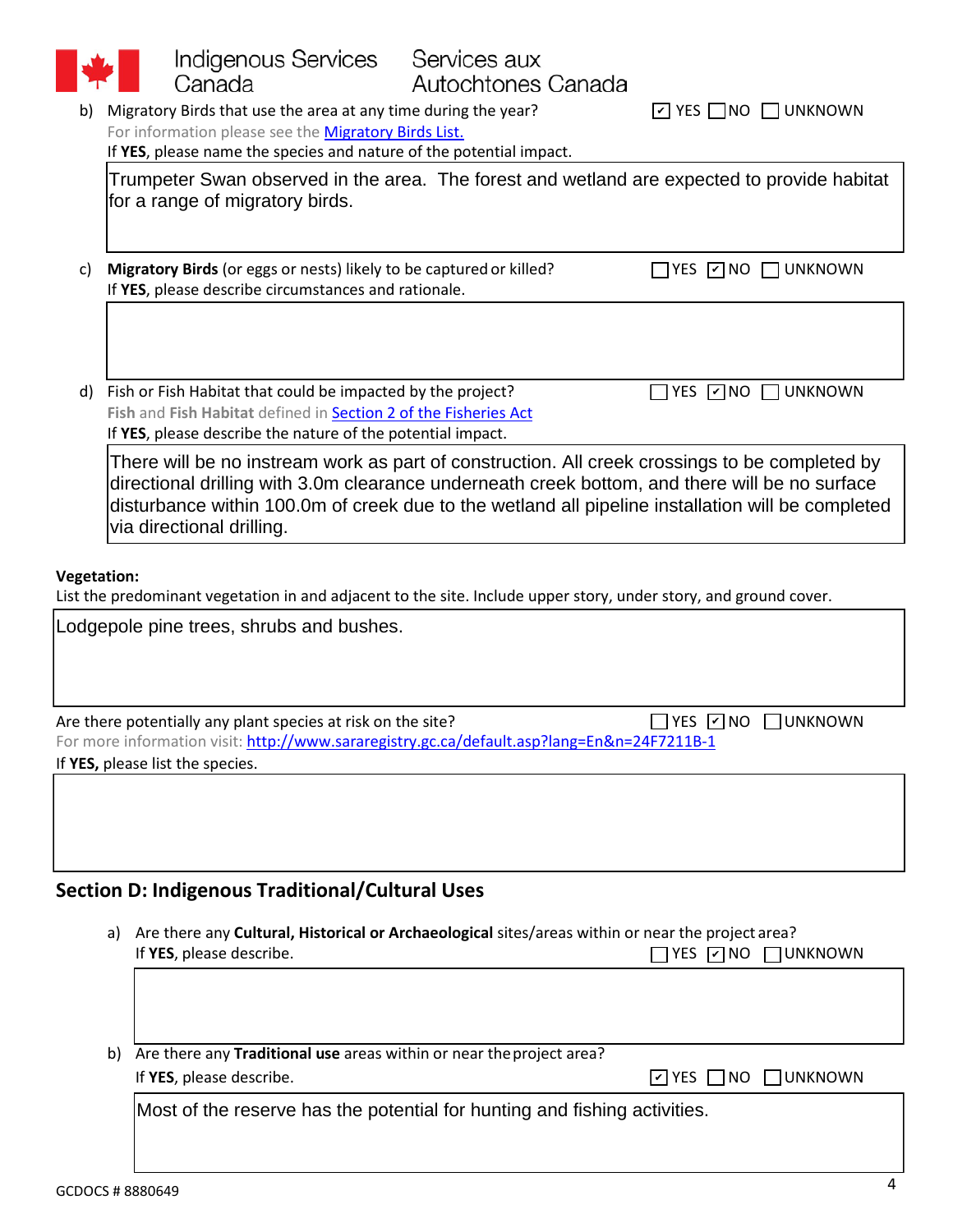|                                                                                                                              | Indigenous Services<br>Services aux                                                                                                                                                                                                                                                                                                |                                                                                     |  |  |  |
|------------------------------------------------------------------------------------------------------------------------------|------------------------------------------------------------------------------------------------------------------------------------------------------------------------------------------------------------------------------------------------------------------------------------------------------------------------------------|-------------------------------------------------------------------------------------|--|--|--|
|                                                                                                                              | Canada<br>Autochtones Canada                                                                                                                                                                                                                                                                                                       | $\boxed{\triangleright}$ YES $\boxed{\phantom{0}}$ NO $\boxed{\phantom{0}}$ UNKNOWN |  |  |  |
| Migratory Birds that use the area at any time during the year?<br>b)<br>For information please see the Migratory Birds List. |                                                                                                                                                                                                                                                                                                                                    |                                                                                     |  |  |  |
|                                                                                                                              | If YES, please name the species and nature of the potential impact.                                                                                                                                                                                                                                                                |                                                                                     |  |  |  |
|                                                                                                                              | Trumpeter Swan observed in the area. The forest and wetland are expected to provide habitat                                                                                                                                                                                                                                        |                                                                                     |  |  |  |
|                                                                                                                              | for a range of migratory birds.                                                                                                                                                                                                                                                                                                    |                                                                                     |  |  |  |
|                                                                                                                              |                                                                                                                                                                                                                                                                                                                                    |                                                                                     |  |  |  |
| C)                                                                                                                           | Migratory Birds (or eggs or nests) likely to be captured or killed?<br>If YES, please describe circumstances and rationale.                                                                                                                                                                                                        | $\Box$ yes $\Box$ no $\Box$ UNKNOWN                                                 |  |  |  |
|                                                                                                                              |                                                                                                                                                                                                                                                                                                                                    |                                                                                     |  |  |  |
| d)                                                                                                                           | Fish or Fish Habitat that could be impacted by the project?                                                                                                                                                                                                                                                                        | YES <b>Z</b> NO<br>$\Box$ UNKNOWN                                                   |  |  |  |
|                                                                                                                              | Fish and Fish Habitat defined in Section 2 of the Fisheries Act<br>If YES, please describe the nature of the potential impact.                                                                                                                                                                                                     |                                                                                     |  |  |  |
|                                                                                                                              | There will be no instream work as part of construction. All creek crossings to be completed by<br>directional drilling with 3.0m clearance underneath creek bottom, and there will be no surface<br>disturbance within 100.0m of creek due to the wetland all pipeline installation will be completed<br>via directional drilling. |                                                                                     |  |  |  |
|                                                                                                                              |                                                                                                                                                                                                                                                                                                                                    |                                                                                     |  |  |  |
| <b>Vegetation:</b>                                                                                                           |                                                                                                                                                                                                                                                                                                                                    |                                                                                     |  |  |  |
|                                                                                                                              | List the predominant vegetation in and adjacent to the site. Include upper story, under story, and ground cover.                                                                                                                                                                                                                   |                                                                                     |  |  |  |
|                                                                                                                              | Lodgepole pine trees, shrubs and bushes.                                                                                                                                                                                                                                                                                           |                                                                                     |  |  |  |
|                                                                                                                              |                                                                                                                                                                                                                                                                                                                                    |                                                                                     |  |  |  |
|                                                                                                                              |                                                                                                                                                                                                                                                                                                                                    |                                                                                     |  |  |  |
|                                                                                                                              | Are there potentially any plant species at risk on the site?                                                                                                                                                                                                                                                                       | $\Box$ YES $\Box$ NO<br>UNKNOWN                                                     |  |  |  |
|                                                                                                                              | For more information visit: http://www.sararegistry.gc.ca/default.asp?lang=En&n=24F7211B-1<br>If YES, please list the species.                                                                                                                                                                                                     |                                                                                     |  |  |  |
|                                                                                                                              |                                                                                                                                                                                                                                                                                                                                    |                                                                                     |  |  |  |
|                                                                                                                              |                                                                                                                                                                                                                                                                                                                                    |                                                                                     |  |  |  |
|                                                                                                                              |                                                                                                                                                                                                                                                                                                                                    |                                                                                     |  |  |  |
|                                                                                                                              |                                                                                                                                                                                                                                                                                                                                    |                                                                                     |  |  |  |
|                                                                                                                              | <b>Section D: Indigenous Traditional/Cultural Uses</b>                                                                                                                                                                                                                                                                             |                                                                                     |  |  |  |
|                                                                                                                              | Are there any Cultural, Historical or Archaeological sites/areas within or near the project area?<br>a)                                                                                                                                                                                                                            |                                                                                     |  |  |  |
|                                                                                                                              | If YES, please describe.                                                                                                                                                                                                                                                                                                           | $YES$ $\neg$ NO $\neg$ UNKNOWN                                                      |  |  |  |
|                                                                                                                              |                                                                                                                                                                                                                                                                                                                                    |                                                                                     |  |  |  |
|                                                                                                                              |                                                                                                                                                                                                                                                                                                                                    |                                                                                     |  |  |  |
|                                                                                                                              |                                                                                                                                                                                                                                                                                                                                    |                                                                                     |  |  |  |
|                                                                                                                              | Are there any Traditional use areas within or near the project area?<br>b)<br>If YES, please describe.                                                                                                                                                                                                                             | <b>TUNKNOWN</b><br>$\triangleright$ YES $\square$ NO                                |  |  |  |
|                                                                                                                              |                                                                                                                                                                                                                                                                                                                                    |                                                                                     |  |  |  |
|                                                                                                                              | Most of the reserve has the potential for hunting and fishing activities.                                                                                                                                                                                                                                                          |                                                                                     |  |  |  |
|                                                                                                                              |                                                                                                                                                                                                                                                                                                                                    |                                                                                     |  |  |  |
|                                                                                                                              |                                                                                                                                                                                                                                                                                                                                    |                                                                                     |  |  |  |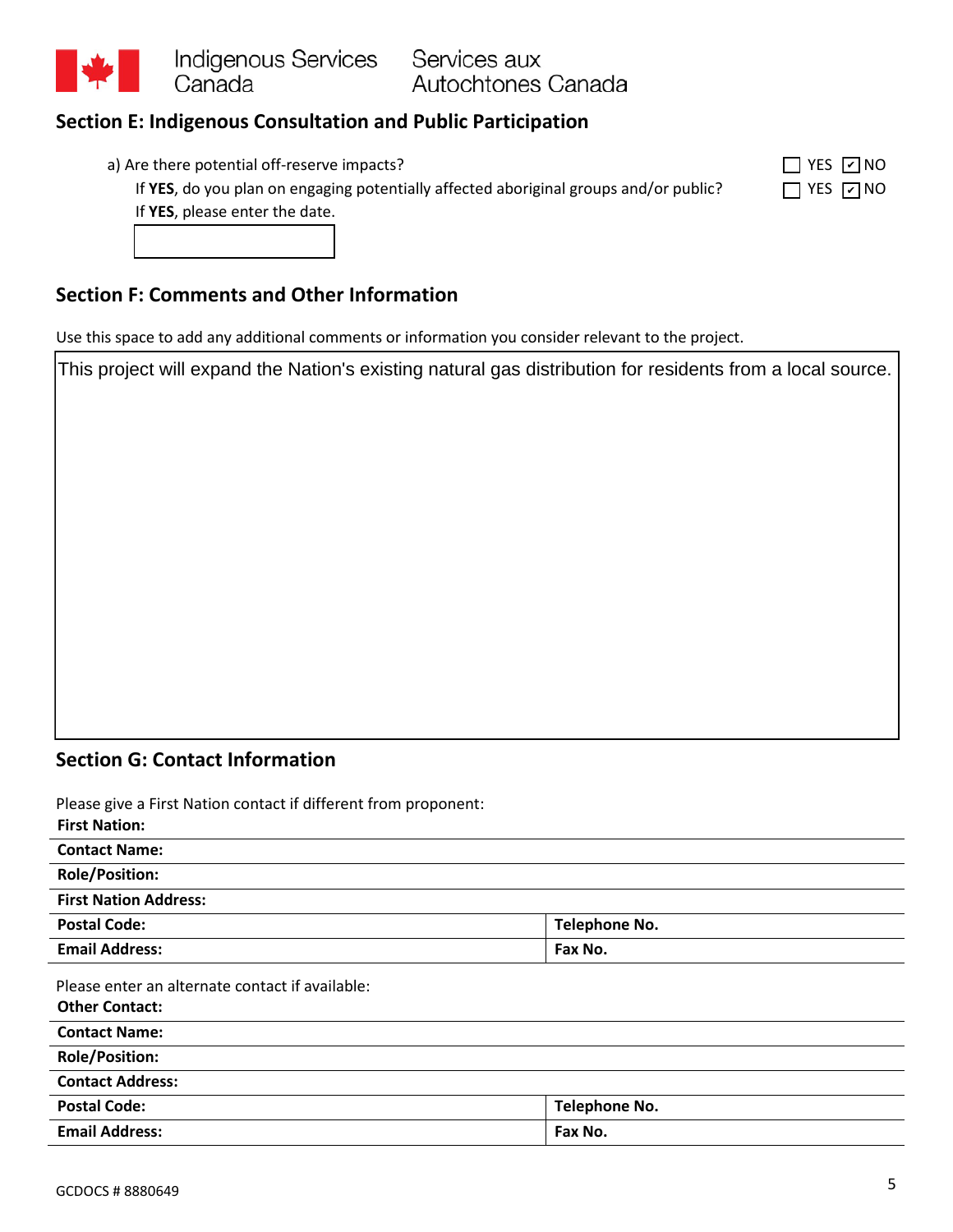

# **Section E: Indigenous Consultation and Public Participation**

| a) Are there potential off-reserve impacts?                                                        | $\Box$ YES $\Box$ NO                      |
|----------------------------------------------------------------------------------------------------|-------------------------------------------|
| <b>If VEC</b> , do you also as assessed a stantially offerted also itsinal crews and large unit of | $\Box$ $\lor$ rc $\Box$ $\land$ i $\land$ |

| YES 7 NO |  |
|----------|--|
| YES 고MO  |  |

If YES, do you plan on engaging potentially affected aboriginal groups and/or public? If **YES**, please enter the date.

# **Section F: Comments and Other Information**

Use this space to add any additional comments or information you consider relevant to the project.

This project will expand the Nation's existing natural gas distribution for residents from a local source.

## **Section G: Contact Information**

Please give a First Nation contact if different from proponent:

| Please give a First Nation contact if different from proponent: |                      |  |
|-----------------------------------------------------------------|----------------------|--|
| <b>First Nation:</b>                                            |                      |  |
| <b>Contact Name:</b>                                            |                      |  |
| <b>Role/Position:</b>                                           |                      |  |
| <b>First Nation Address:</b>                                    |                      |  |
| <b>Postal Code:</b>                                             | Telephone No.        |  |
| <b>Email Address:</b>                                           | Fax No.              |  |
| Please enter an alternate contact if available:                 |                      |  |
| <b>Other Contact:</b>                                           |                      |  |
| <b>Contact Name:</b>                                            |                      |  |
| <b>Role/Position:</b>                                           |                      |  |
| <b>Contact Address:</b>                                         |                      |  |
| <b>Postal Code:</b>                                             | <b>Telephone No.</b> |  |
| <b>Email Address:</b>                                           | Fax No.              |  |